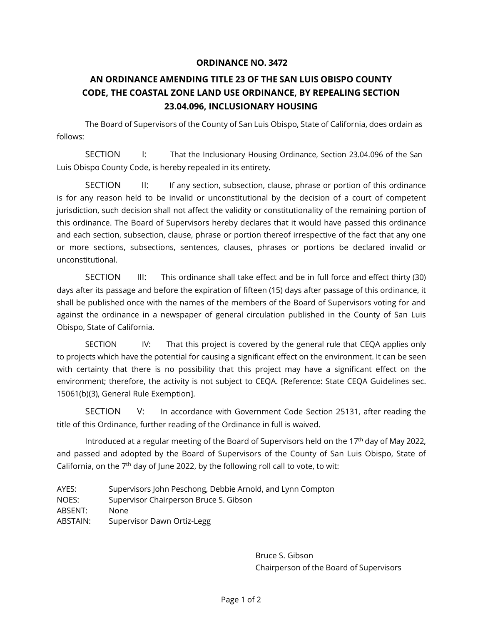## **ORDINANCE NO. 3472**

## **AN ORDINANCE AMENDING TITLE 23 OF THE SAN LUIS OBISPO COUNTY CODE, THE COASTAL ZONE LAND USE ORDINANCE, BY REPEALING SECTION 23.04.096, INCLUSIONARY HOUSING**

The Board of Supervisors of the County of San Luis Obispo, State of California, does ordain as follows:

SECTION I: That the Inclusionary Housing Ordinance, Section 23.04.096 of the San Luis Obispo County Code, is hereby repealed in its entirety.

SECTION II: If any section, subsection, clause, phrase or portion of this ordinance is for any reason held to be invalid or unconstitutional by the decision of a court of competent jurisdiction, such decision shall not affect the validity or constitutionality of the remaining portion of this ordinance. The Board of Supervisors hereby declares that it would have passed this ordinance and each section, subsection, clause, phrase or portion thereof irrespective of the fact that any one or more sections, subsections, sentences, clauses, phrases or portions be declared invalid or unconstitutional.

SECTION III: This ordinance shall take effect and be in full force and effect thirty (30) days after its passage and before the expiration of fifteen (15) days after passage of this ordinance, it shall be published once with the names of the members of the Board of Supervisors voting for and against the ordinance in a newspaper of general circulation published in the County of San Luis Obispo, State of California.

SECTION IV: That this project is covered by the general rule that CEQA applies only to projects which have the potential for causing a significant effect on the environment. It can be seen with certainty that there is no possibility that this project may have a significant effect on the environment; therefore, the activity is not subject to CEQA. [Reference: State CEQA Guidelines sec. 15061(b)(3), General Rule Exemption].

SECTION V: In accordance with Government Code Section 25131, after reading the title of this Ordinance, further reading of the Ordinance in full is waived.

Introduced at a regular meeting of the Board of Supervisors held on the 17<sup>th</sup> day of May 2022, and passed and adopted by the Board of Supervisors of the County of San Luis Obispo, State of California, on the  $7<sup>th</sup>$  day of June 2022, by the following roll call to vote, to wit:

AYES: Supervisors John Peschong, Debbie Arnold, and Lynn Compton NOES: Supervisor Chairperson Bruce S. Gibson ABSENT: None ABSTAIN: Supervisor Dawn Ortiz-Legg

> Bruce S. Gibson Chairperson of the Board of Supervisors